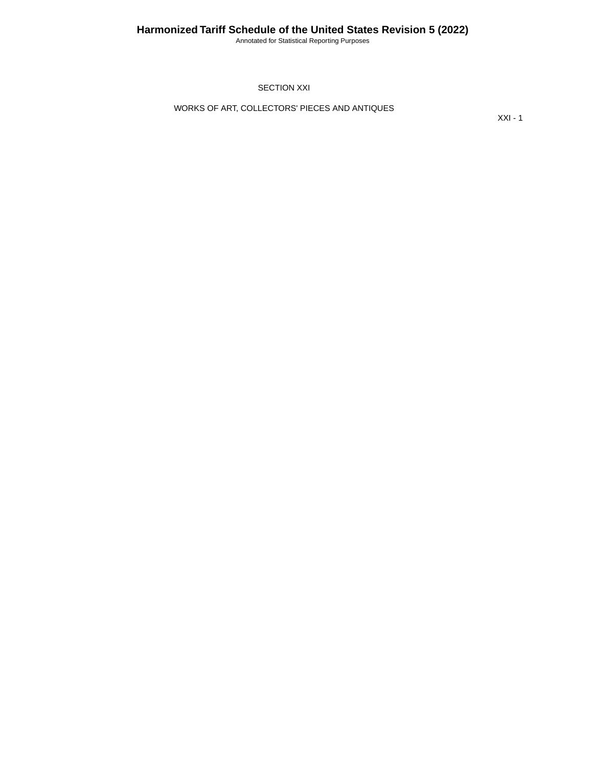Annotated for Statistical Reporting Purposes

SECTION XXI

WORKS OF ART, COLLECTORS' PIECES AND ANTIQUES

XXI - 1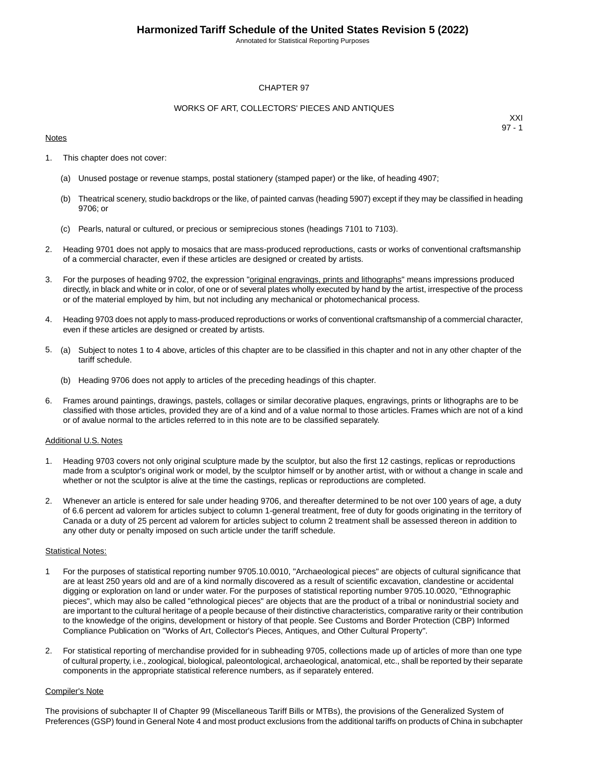Annotated for Statistical Reporting Purposes

## CHAPTER 97

### WORKS OF ART, COLLECTORS' PIECES AND ANTIQUES

### **Notes**

XXI 97 - 1

- 1. This chapter does not cover:
	- (a) Unused postage or revenue stamps, postal stationery (stamped paper) or the like, of heading 4907;
	- (b) Theatrical scenery, studio backdrops or the like, of painted canvas (heading 5907) except if they may be classified in heading 9706; or
	- (c) Pearls, natural or cultured, or precious or semiprecious stones (headings 7101 to 7103).
- 2. Heading 9701 does not apply to mosaics that are mass-produced reproductions, casts or works of conventional craftsmanship of a commercial character, even if these articles are designed or created by artists.
- 3. For the purposes of heading 9702, the expression "original engravings, prints and lithographs" means impressions produced directly, in black and white or in color, of one or of several plates wholly executed by hand by the artist, irrespective of the process or of the material employed by him, but not including any mechanical or photomechanical process.
- 4. Heading 9703 does not apply to mass-produced reproductions or works of conventional craftsmanship of a commercial character, even if these articles are designed or created by artists.
- 5. (a) Subject to notes 1 to 4 above, articles of this chapter are to be classified in this chapter and not in any other chapter of the tariff schedule.
	- (b) Heading 9706 does not apply to articles of the preceding headings of this chapter.
- 6. Frames around paintings, drawings, pastels, collages or similar decorative plaques, engravings, prints or lithographs are to be classified with those articles, provided they are of a kind and of a value normal to those articles. Frames which are not of a kind or of avalue normal to the articles referred to in this note are to be classified separately.

#### Additional U.S. Notes

- 1. Heading 9703 covers not only original sculpture made by the sculptor, but also the first 12 castings, replicas or reproductions made from a sculptor's original work or model, by the sculptor himself or by another artist, with or without a change in scale and whether or not the sculptor is alive at the time the castings, replicas or reproductions are completed.
- 2. Whenever an article is entered for sale under heading 9706, and thereafter determined to be not over 100 years of age, a duty of 6.6 percent ad valorem for articles subject to column 1-general treatment, free of duty for goods originating in the territory of Canada or a duty of 25 percent ad valorem for articles subject to column 2 treatment shall be assessed thereon in addition to any other duty or penalty imposed on such article under the tariff schedule.

#### **Statistical Notes:**

- 1 For the purposes of statistical reporting number 9705.10.0010, "Archaeological pieces" are objects of cultural significance that are at least 250 years old and are of a kind normally discovered as a result of scientific excavation, clandestine or accidental digging or exploration on land or under water. For the purposes of statistical reporting number 9705.10.0020, "Ethnographic pieces", which may also be called "ethnological pieces" are objects that are the product of a tribal or nonindustrial society and are important to the cultural heritage of a people because of their distinctive characteristics, comparative rarity or their contribution to the knowledge of the origins, development or history of that people. See Customs and Border Protection (CBP) Informed Compliance Publication on "Works of Art, Collector's Pieces, Antiques, and Other Cultural Property".
- 2. For statistical reporting of merchandise provided for in subheading 9705, collections made up of articles of more than one type of cultural property, i.e., zoological, biological, paleontological, archaeological, anatomical, etc., shall be reported by their separate components in the appropriate statistical reference numbers, as if separately entered.

#### Compiler's Note

The provisions of subchapter II of Chapter 99 (Miscellaneous Tariff Bills or MTBs), the provisions of the Generalized System of Preferences (GSP) found in General Note 4 and most product exclusions from the additional tariffs on products of China in subchapter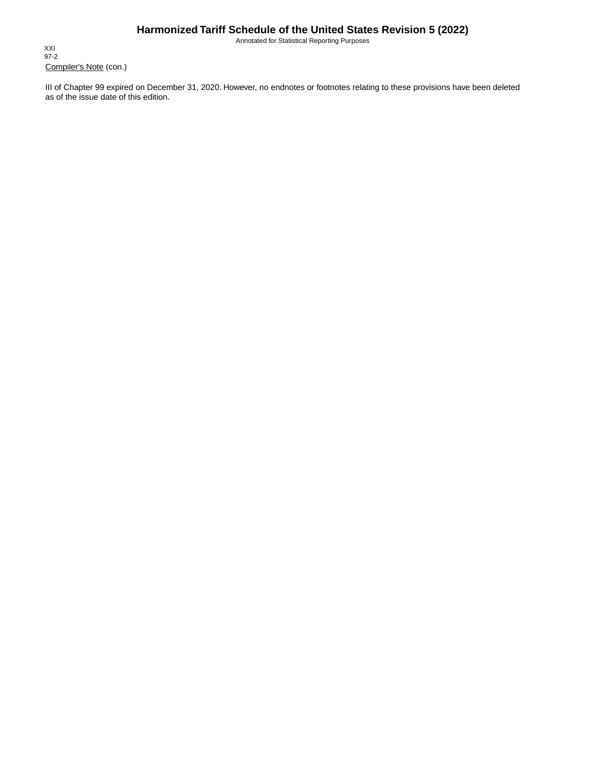## **Harmonized Tariff Schedule of the United States Revision 5 (2022)**

Annotated for Statistical Reporting Purposes

Compiler's Note (con.) XXI 97-2

III of Chapter 99 expired on December 31, 2020. However, no endnotes or footnotes relating to these provisions have been deleted as of the issue date of this edition.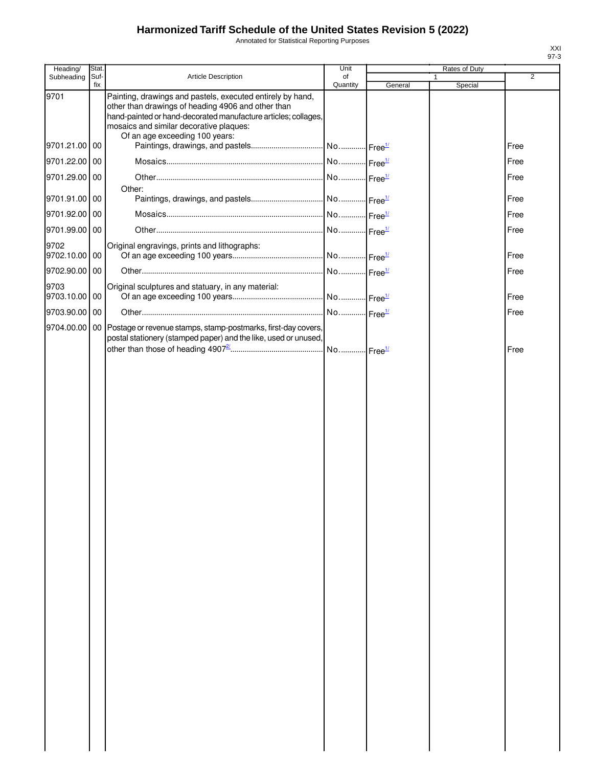# **Harmonized Tariff Schedule of the United States Revision 5 (2022)**

Annotated for Statistical Reporting Purposes

| Heading/              | Stat.       |                                                                                                                                                                                                                                                                 | Unit           |         | Rates of Duty |                |
|-----------------------|-------------|-----------------------------------------------------------------------------------------------------------------------------------------------------------------------------------------------------------------------------------------------------------------|----------------|---------|---------------|----------------|
| Subheading            | Suf-<br>fix | Article Description                                                                                                                                                                                                                                             | of<br>Quantity | General | Special       | $\overline{2}$ |
| 9701                  |             | Painting, drawings and pastels, executed entirely by hand,<br>other than drawings of heading 4906 and other than<br>hand-painted or hand-decorated manufacture articles; collages,<br>mosaics and similar decorative plaques:<br>Of an age exceeding 100 years: |                |         |               |                |
| 9701.21.00 00         |             |                                                                                                                                                                                                                                                                 |                |         |               | Free           |
| 9701.22.00 00         |             |                                                                                                                                                                                                                                                                 |                |         |               | Free           |
| 9701.29.00 00         |             | Other:                                                                                                                                                                                                                                                          |                |         |               | Free           |
| 9701.91.00 00         |             |                                                                                                                                                                                                                                                                 |                |         |               | Free           |
| 9701.92.00 00         |             |                                                                                                                                                                                                                                                                 |                |         |               | Free           |
| 9701.99.00 00         |             |                                                                                                                                                                                                                                                                 |                |         |               | Free           |
| 9702                  |             | Original engravings, prints and lithographs:                                                                                                                                                                                                                    |                |         |               |                |
| 9702.10.00 00         |             |                                                                                                                                                                                                                                                                 |                |         |               | Free           |
| 9702.90.00 00         |             |                                                                                                                                                                                                                                                                 |                |         |               | Free           |
| 9703<br>9703.10.00 00 |             | Original sculptures and statuary, in any material:                                                                                                                                                                                                              |                |         |               | Free           |
|                       |             |                                                                                                                                                                                                                                                                 |                |         |               |                |
| 9703.90.00 00         |             |                                                                                                                                                                                                                                                                 |                |         |               | Free           |
| 9704.00.00            | 00 I        | Postage or revenue stamps, stamp-postmarks, first-day covers,<br>postal stationery (stamped paper) and the like, used or unused,                                                                                                                                |                |         |               | Free           |
|                       |             |                                                                                                                                                                                                                                                                 |                |         |               |                |
|                       |             |                                                                                                                                                                                                                                                                 |                |         |               |                |
|                       |             |                                                                                                                                                                                                                                                                 |                |         |               |                |
|                       |             |                                                                                                                                                                                                                                                                 |                |         |               |                |
|                       |             |                                                                                                                                                                                                                                                                 |                |         |               |                |
|                       |             |                                                                                                                                                                                                                                                                 |                |         |               |                |
|                       |             |                                                                                                                                                                                                                                                                 |                |         |               |                |
|                       |             |                                                                                                                                                                                                                                                                 |                |         |               |                |
|                       |             |                                                                                                                                                                                                                                                                 |                |         |               |                |
|                       |             |                                                                                                                                                                                                                                                                 |                |         |               |                |
|                       |             |                                                                                                                                                                                                                                                                 |                |         |               |                |
|                       |             |                                                                                                                                                                                                                                                                 |                |         |               |                |
|                       |             |                                                                                                                                                                                                                                                                 |                |         |               |                |
|                       |             |                                                                                                                                                                                                                                                                 |                |         |               |                |
|                       |             |                                                                                                                                                                                                                                                                 |                |         |               |                |
|                       |             |                                                                                                                                                                                                                                                                 |                |         |               |                |
|                       |             |                                                                                                                                                                                                                                                                 |                |         |               |                |
|                       |             |                                                                                                                                                                                                                                                                 |                |         |               |                |
|                       |             |                                                                                                                                                                                                                                                                 |                |         |               |                |
|                       |             |                                                                                                                                                                                                                                                                 |                |         |               |                |

XXI 97-3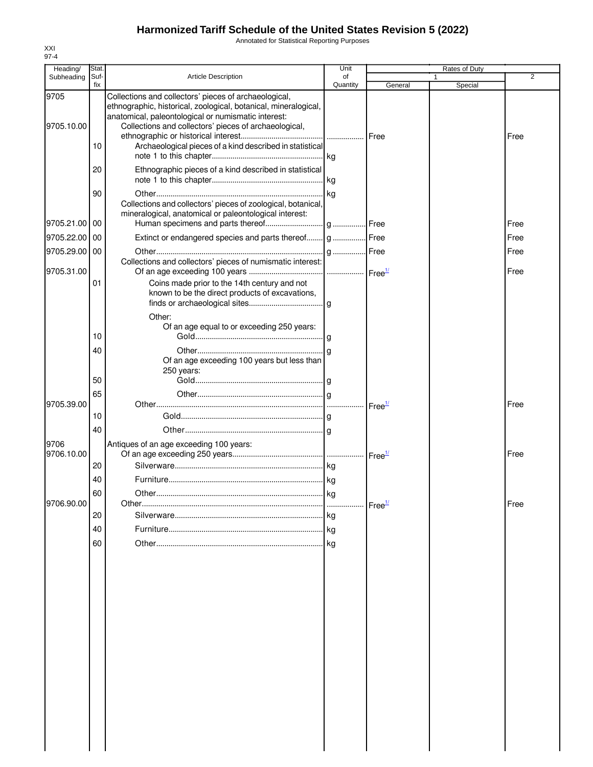## **Harmonized Tariff Schedule of the United States Revision 5 (2022)**

Annotated for Statistical Reporting Purposes

| Heading/   | Stat.       |                                                                                                                                                                                 | Unit           |                    | Rates of Duty |                |
|------------|-------------|---------------------------------------------------------------------------------------------------------------------------------------------------------------------------------|----------------|--------------------|---------------|----------------|
| Subheading | Suf-<br>fix | <b>Article Description</b>                                                                                                                                                      | of<br>Quantity | General            | 1<br>Special  | $\overline{2}$ |
| 9705       |             | Collections and collectors' pieces of archaeological,<br>ethnographic, historical, zoological, botanical, mineralogical,<br>anatomical, paleontological or numismatic interest: |                |                    |               |                |
| 9705.10.00 |             | Collections and collectors' pieces of archaeological,                                                                                                                           |                |                    |               |                |
|            |             |                                                                                                                                                                                 |                | Free               |               | Free           |
|            | 10          | Archaeological pieces of a kind described in statistical                                                                                                                        |                |                    |               |                |
|            | 20          | Ethnographic pieces of a kind described in statistical                                                                                                                          |                |                    |               |                |
|            |             |                                                                                                                                                                                 |                |                    |               |                |
|            | 90          |                                                                                                                                                                                 |                |                    |               |                |
|            |             | Collections and collectors' pieces of zoological, botanical,                                                                                                                    |                |                    |               |                |
|            |             | mineralogical, anatomical or paleontological interest:                                                                                                                          |                |                    |               |                |
| 9705.21.00 | 00          |                                                                                                                                                                                 |                |                    |               | Free           |
| 9705.22.00 | 00          | Extinct or endangered species and parts thereof g Free                                                                                                                          |                |                    |               | Free           |
| 9705.29.00 | 00          | Collections and collectors' pieces of numismatic interest:                                                                                                                      |                |                    |               | Free           |
| 9705.31.00 |             |                                                                                                                                                                                 |                |                    |               | Free           |
|            | 01          | Coins made prior to the 14th century and not                                                                                                                                    |                |                    |               |                |
|            |             | known to be the direct products of excavations,                                                                                                                                 |                |                    |               |                |
|            |             |                                                                                                                                                                                 |                |                    |               |                |
|            |             | Other:<br>Of an age equal to or exceeding 250 years:                                                                                                                            |                |                    |               |                |
|            | 10          |                                                                                                                                                                                 |                |                    |               |                |
|            | 40          |                                                                                                                                                                                 |                |                    |               |                |
|            |             | Of an age exceeding 100 years but less than                                                                                                                                     |                |                    |               |                |
|            | 50          | 250 years:                                                                                                                                                                      |                |                    |               |                |
|            | 65          |                                                                                                                                                                                 |                |                    |               |                |
| 9705.39.00 |             |                                                                                                                                                                                 |                |                    |               | Free           |
|            | 10          |                                                                                                                                                                                 |                |                    |               |                |
|            | 40          |                                                                                                                                                                                 |                |                    |               |                |
| 9706       |             | Antiques of an age exceeding 100 years:                                                                                                                                         |                |                    |               |                |
| 9706.10.00 |             |                                                                                                                                                                                 |                |                    |               | Free           |
|            | 20          |                                                                                                                                                                                 |                |                    |               |                |
|            | 40          |                                                                                                                                                                                 |                |                    |               |                |
| 9706.90.00 | 60          |                                                                                                                                                                                 |                |                    |               |                |
|            | 20          |                                                                                                                                                                                 |                | Free <sup>1/</sup> |               | Free           |
|            | 40          |                                                                                                                                                                                 |                |                    |               |                |
|            |             |                                                                                                                                                                                 |                |                    |               |                |
|            | 60          |                                                                                                                                                                                 |                |                    |               |                |
|            |             |                                                                                                                                                                                 |                |                    |               |                |
|            |             |                                                                                                                                                                                 |                |                    |               |                |
|            |             |                                                                                                                                                                                 |                |                    |               |                |
|            |             |                                                                                                                                                                                 |                |                    |               |                |
|            |             |                                                                                                                                                                                 |                |                    |               |                |
|            |             |                                                                                                                                                                                 |                |                    |               |                |
|            |             |                                                                                                                                                                                 |                |                    |               |                |
|            |             |                                                                                                                                                                                 |                |                    |               |                |
|            |             |                                                                                                                                                                                 |                |                    |               |                |
|            |             |                                                                                                                                                                                 |                |                    |               |                |
|            |             |                                                                                                                                                                                 |                |                    |               |                |
|            |             |                                                                                                                                                                                 |                |                    |               |                |
|            |             |                                                                                                                                                                                 |                |                    |               |                |
|            |             |                                                                                                                                                                                 |                |                    |               |                |
|            |             |                                                                                                                                                                                 |                |                    |               |                |

XXI 97-4